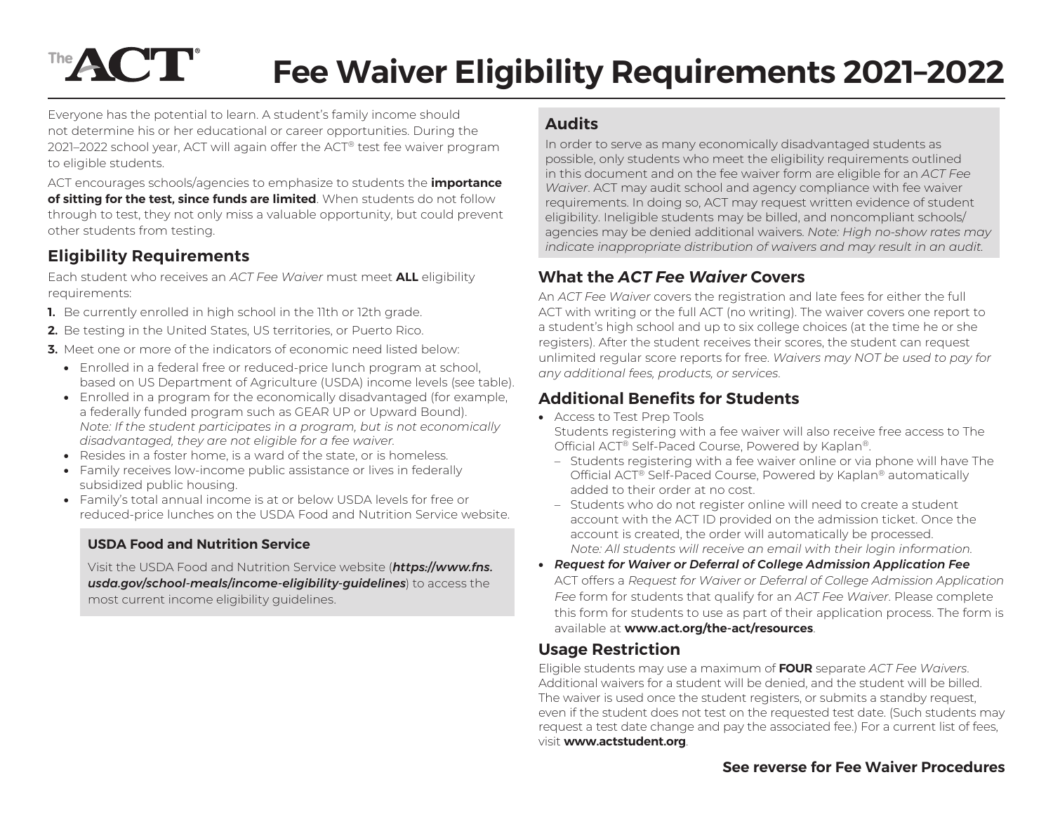# The **ACT Fee Waiver Eligibility Requirements 2021–2022**

Everyone has the potential to learn. A student's family income should not determine his or her educational or career opportunities. During the 2021–2022 school year, ACT will again offer the ACT® test fee waiver program to eligible students.

ACT encourages schools/agencies to emphasize to students the **importance of sitting for the test, since funds are limited**. When students do not follow through to test, they not only miss a valuable opportunity, but could prevent other students from testing.

# **Eligibility Requirements**

Each student who receives an *ACT Fee Waiver* must meet **ALL** eligibility requirements:

- **1.** Be currently enrolled in high school in the 11th or 12th grade.
- **2.** Be testing in the United States, US territories, or Puerto Rico.
- **3.** Meet one or more of the indicators of economic need listed below:
	- Enrolled in a federal free or reduced-price lunch program at school, based on US Department of Agriculture (USDA) income levels (see table).
	- Enrolled in a program for the economically disadvantaged (for example, a federally funded program such as GEAR UP or Upward Bound). *Note: If the student participates in a program, but is not economically disadvantaged, they are not eligible for a fee waiver.*
	- Resides in a foster home, is a ward of the state, or is homeless.
	- Family receives low-income public assistance or lives in federally subsidized public housing.
	- Family's total annual income is at or below USDA levels for free or reduced-price lunches on the USDA Food and Nutrition Service website.

#### **USDA Food and Nutrition Service**

Visit the USDA Food and Nutrition Service website (*[https://www.fns.](https://www.fns.usda.gov/school-meals/income-eligibility-guidelines) [usda.gov/school-meals/income-eligibility-guidelines](https://www.fns.usda.gov/school-meals/income-eligibility-guidelines)*) to access the most current income eligibility guidelines.

## **Audits**

In order to serve as many economically disadvantaged students as possible, only students who meet the eligibility requirements outlined in this document and on the fee waiver form are eligible for an *ACT Fee Waiver*. ACT may audit school and agency compliance with fee waiver requirements. In doing so, ACT may request written evidence of student eligibility. Ineligible students may be billed, and noncompliant schools/ agencies may be denied additional waivers. *Note: High no-show rates may indicate inappropriate distribution of waivers and may result in an audit.*

### **What the** *ACT Fee Waiver* **Covers**

An *ACT Fee Waiver* covers the registration and late fees for either the full ACT with writing or the full ACT (no writing). The waiver covers one report to a student's high school and up to six college choices (at the time he or she registers). After the student receives their scores, the student can request unlimited regular score reports for free. *Waivers may NOT be used to pay for any additional fees, products, or services*.

## **Additional Benefits for Students**

• Access to Test Prep Tools

Students registering with a fee waiver will also receive free access to The Official ACT® Self-Paced Course, Powered by Kaplan®.

- Students registering with a fee waiver online or via phone will have The Official ACT® Self-Paced Course, Powered by Kaplan® automatically added to their order at no cost.
- Students who do not register online will need to create a student account with the ACT ID provided on the admission ticket. Once the account is created, the order will automatically be processed. *Note: All students will receive an email with their login information.*
- *Request for Waiver or Deferral of College Admission Application Fee* ACT offers a *Request for Waiver or Deferral of College Admission Application Fee* form for students that qualify for an *ACT Fee Waiver*. Please complete this form for students to use as part of their application process. The form is available at **<www.act.org/the-act/resources>**.

# **Usage Restriction**

Eligible students may use a maximum of **FOUR** separate *ACT Fee Waivers*. Additional waivers for a student will be denied, and the student will be billed. The waiver is used once the student registers, or submits a standby request, even if the student does not test on the requested test date. (Such students may request a test date change and pay the associated fee.) For a current list of fees, visit **www.actstudent.org**.